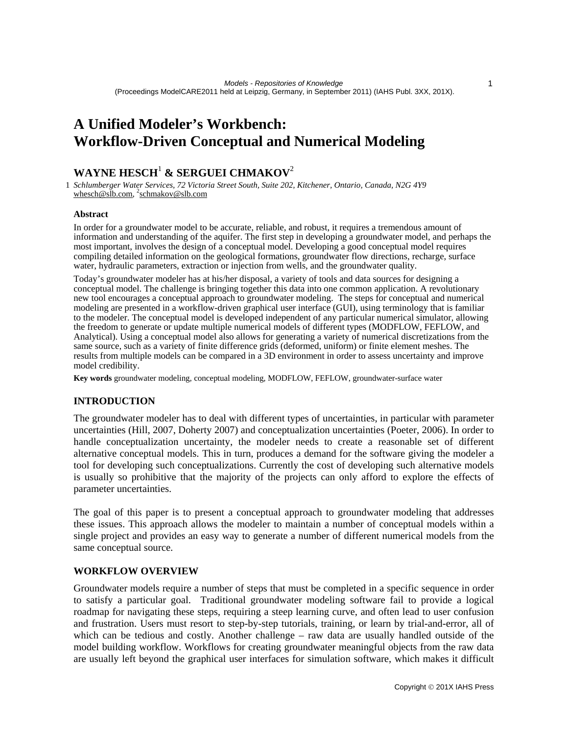# **A Unified Modeler's Workbench: Workflow-Driven Conceptual and Numerical Modeling**

## **WAYNE HESCH**<sup>1</sup>  **& SERGUEI CHMAKOV**<sup>2</sup>

1 *Schlumberger Water Services, 72 Victoria Street South, Suite 202, Kitchener, Ontario, Canada, N2G 4Y9*  whesch@slb.com, <sup>2</sup>schmakov@slb.com

#### **Abstract**

In order for a groundwater model to be accurate, reliable, and robust, it requires a tremendous amount of information and understanding of the aquifer. The first step in developing a groundwater model, and perhaps the most important, involves the design of a conceptual model. Developing a good conceptual model requires compiling detailed information on the geological formations, groundwater flow directions, recharge, surface water, hydraulic parameters, extraction or injection from wells, and the groundwater quality.

Today's groundwater modeler has at his/her disposal, a variety of tools and data sources for designing a conceptual model. The challenge is bringing together this data into one common application. A revolutionary new tool encourages a conceptual approach to groundwater modeling. The steps for conceptual and numerical modeling are presented in a workflow-driven graphical user interface (GUI), using terminology that is familiar to the modeler. The conceptual model is developed independent of any particular numerical simulator, allowing the freedom to generate or update multiple numerical models of different types (MODFLOW, FEFLOW, and Analytical). Using a conceptual model also allows for generating a variety of numerical discretizations from the same source, such as a variety of finite difference grids (deformed, uniform) or finite element meshes. The results from multiple models can be compared in a 3D environment in order to assess uncertainty and improve model credibility.

**Key words** groundwater modeling, conceptual modeling, MODFLOW, FEFLOW, groundwater-surface water

## **INTRODUCTION**

The groundwater modeler has to deal with different types of uncertainties, in particular with parameter uncertainties (Hill, 2007, Doherty 2007) and conceptualization uncertainties (Poeter, 2006). In order to handle conceptualization uncertainty, the modeler needs to create a reasonable set of different alternative conceptual models. This in turn, produces a demand for the software giving the modeler a tool for developing such conceptualizations. Currently the cost of developing such alternative models is usually so prohibitive that the majority of the projects can only afford to explore the effects of parameter uncertainties.

The goal of this paper is to present a conceptual approach to groundwater modeling that addresses these issues. This approach allows the modeler to maintain a number of conceptual models within a single project and provides an easy way to generate a number of different numerical models from the same conceptual source.

## **WORKFLOW OVERVIEW**

Groundwater models require a number of steps that must be completed in a specific sequence in order to satisfy a particular goal. Traditional groundwater modeling software fail to provide a logical roadmap for navigating these steps, requiring a steep learning curve, and often lead to user confusion and frustration. Users must resort to step-by-step tutorials, training, or learn by trial-and-error, all of which can be tedious and costly. Another challenge – raw data are usually handled outside of the model building workflow. Workflows for creating groundwater meaningful objects from the raw data are usually left beyond the graphical user interfaces for simulation software, which makes it difficult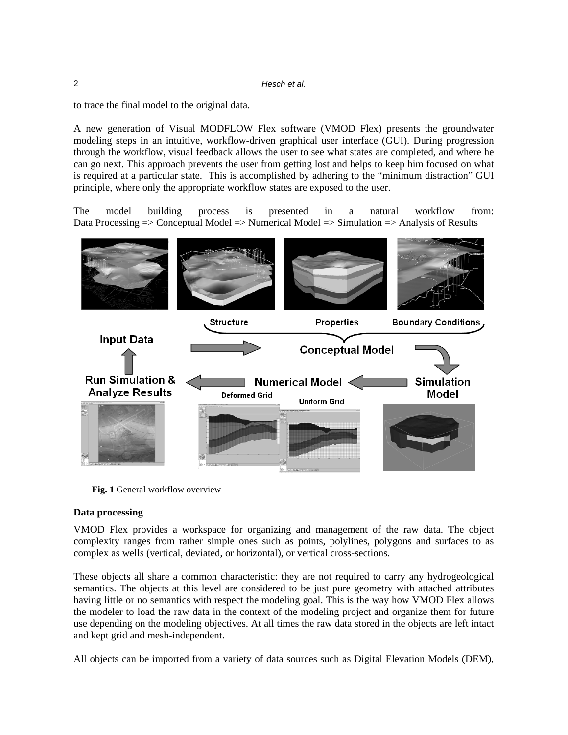|  | Hesch et al. |
|--|--------------|
|--|--------------|

to trace the final model to the original data.

A new generation of Visual MODFLOW Flex software (VMOD Flex) presents the groundwater modeling steps in an intuitive, workflow-driven graphical user interface (GUI). During progression through the workflow, visual feedback allows the user to see what states are completed, and where he can go next. This approach prevents the user from getting lost and helps to keep him focused on what is required at a particular state. This is accomplished by adhering to the "minimum distraction" GUI principle, where only the appropriate workflow states are exposed to the user.

The model building process is presented in a natural workflow from: Data Processing  $\Rightarrow$  Conceptual Model  $\Rightarrow$  Numerical Model  $\Rightarrow$  Simulation  $\Rightarrow$  Analysis of Results



**Fig. 1** General workflow overview

## **Data processing**

VMOD Flex provides a workspace for organizing and management of the raw data. The object complexity ranges from rather simple ones such as points, polylines, polygons and surfaces to as complex as wells (vertical, deviated, or horizontal), or vertical cross-sections.

These objects all share a common characteristic: they are not required to carry any hydrogeological semantics. The objects at this level are considered to be just pure geometry with attached attributes having little or no semantics with respect the modeling goal. This is the way how VMOD Flex allows the modeler to load the raw data in the context of the modeling project and organize them for future use depending on the modeling objectives. At all times the raw data stored in the objects are left intact and kept grid and mesh-independent.

All objects can be imported from a variety of data sources such as Digital Elevation Models (DEM),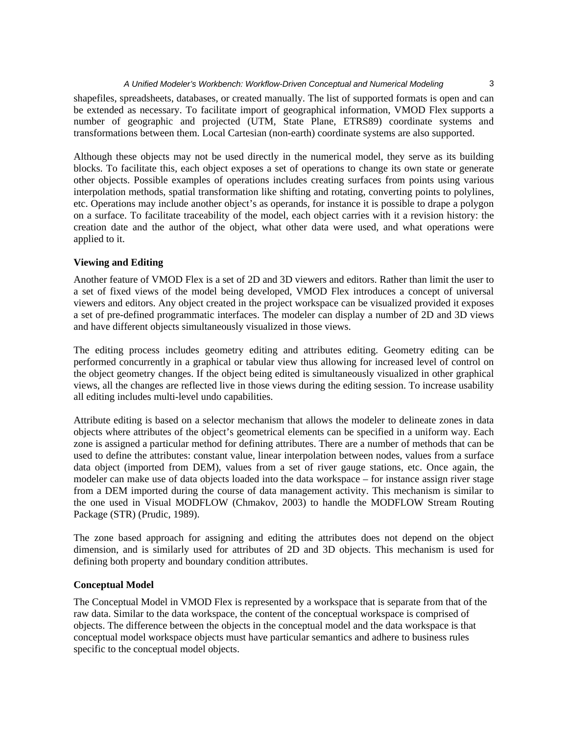#### *A Unified Modeler's Workbench: Workflow-Driven Conceptual and Numerical Modeling* 3

shapefiles, spreadsheets, databases, or created manually. The list of supported formats is open and can be extended as necessary. To facilitate import of geographical information, VMOD Flex supports a number of geographic and projected (UTM, State Plane, ETRS89) coordinate systems and transformations between them. Local Cartesian (non-earth) coordinate systems are also supported.

Although these objects may not be used directly in the numerical model, they serve as its building blocks. To facilitate this, each object exposes a set of operations to change its own state or generate other objects. Possible examples of operations includes creating surfaces from points using various interpolation methods, spatial transformation like shifting and rotating, converting points to polylines, etc. Operations may include another object's as operands, for instance it is possible to drape a polygon on a surface. To facilitate traceability of the model, each object carries with it a revision history: the creation date and the author of the object, what other data were used, and what operations were applied to it.

#### **Viewing and Editing**

Another feature of VMOD Flex is a set of 2D and 3D viewers and editors. Rather than limit the user to a set of fixed views of the model being developed, VMOD Flex introduces a concept of universal viewers and editors. Any object created in the project workspace can be visualized provided it exposes a set of pre-defined programmatic interfaces. The modeler can display a number of 2D and 3D views and have different objects simultaneously visualized in those views.

The editing process includes geometry editing and attributes editing. Geometry editing can be performed concurrently in a graphical or tabular view thus allowing for increased level of control on the object geometry changes. If the object being edited is simultaneously visualized in other graphical views, all the changes are reflected live in those views during the editing session. To increase usability all editing includes multi-level undo capabilities.

Attribute editing is based on a selector mechanism that allows the modeler to delineate zones in data objects where attributes of the object's geometrical elements can be specified in a uniform way. Each zone is assigned a particular method for defining attributes. There are a number of methods that can be used to define the attributes: constant value, linear interpolation between nodes, values from a surface data object (imported from DEM), values from a set of river gauge stations, etc. Once again, the modeler can make use of data objects loaded into the data workspace – for instance assign river stage from a DEM imported during the course of data management activity. This mechanism is similar to the one used in Visual MODFLOW (Chmakov, 2003) to handle the MODFLOW Stream Routing Package (STR) (Prudic, 1989).

The zone based approach for assigning and editing the attributes does not depend on the object dimension, and is similarly used for attributes of 2D and 3D objects. This mechanism is used for defining both property and boundary condition attributes.

## **Conceptual Model**

The Conceptual Model in VMOD Flex is represented by a workspace that is separate from that of the raw data. Similar to the data workspace, the content of the conceptual workspace is comprised of objects. The difference between the objects in the conceptual model and the data workspace is that conceptual model workspace objects must have particular semantics and adhere to business rules specific to the conceptual model objects.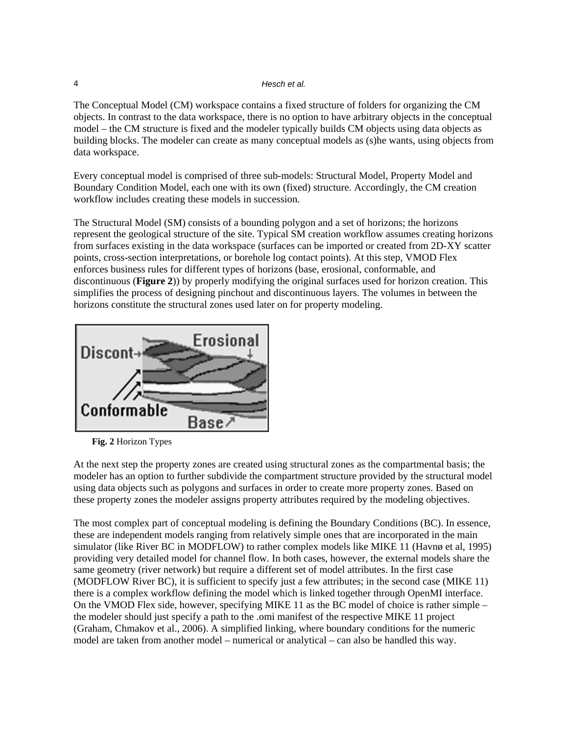#### 4 *Hesch et al.*

The Conceptual Model (CM) workspace contains a fixed structure of folders for organizing the CM objects. In contrast to the data workspace, there is no option to have arbitrary objects in the conceptual model – the CM structure is fixed and the modeler typically builds CM objects using data objects as building blocks. The modeler can create as many conceptual models as (s)he wants, using objects from data workspace.

Every conceptual model is comprised of three sub-models: Structural Model, Property Model and Boundary Condition Model, each one with its own (fixed) structure. Accordingly, the CM creation workflow includes creating these models in succession.

The Structural Model (SM) consists of a bounding polygon and a set of horizons; the horizons represent the geological structure of the site. Typical SM creation workflow assumes creating horizons from surfaces existing in the data workspace (surfaces can be imported or created from 2D-XY scatter points, cross-section interpretations, or borehole log contact points). At this step, VMOD Flex enforces business rules for different types of horizons (base, erosional, conformable, and discontinuous (**Figure 2**)) by properly modifying the original surfaces used for horizon creation. This simplifies the process of designing pinchout and discontinuous layers. The volumes in between the horizons constitute the structural zones used later on for property modeling.



**Fig. 2** Horizon Types

At the next step the property zones are created using structural zones as the compartmental basis; the modeler has an option to further subdivide the compartment structure provided by the structural model using data objects such as polygons and surfaces in order to create more property zones. Based on these property zones the modeler assigns property attributes required by the modeling objectives.

The most complex part of conceptual modeling is defining the Boundary Conditions (BC). In essence, these are independent models ranging from relatively simple ones that are incorporated in the main simulator (like River BC in MODFLOW) to rather complex models like MIKE 11 (Havnø et al, 1995) providing very detailed model for channel flow. In both cases, however, the external models share the same geometry (river network) but require a different set of model attributes. In the first case (MODFLOW River BC), it is sufficient to specify just a few attributes; in the second case (MIKE 11) there is a complex workflow defining the model which is linked together through OpenMI interface. On the VMOD Flex side, however, specifying MIKE 11 as the BC model of choice is rather simple – the modeler should just specify a path to the .omi manifest of the respective MIKE 11 project (Graham, Chmakov et al., 2006). A simplified linking, where boundary conditions for the numeric model are taken from another model – numerical or analytical – can also be handled this way.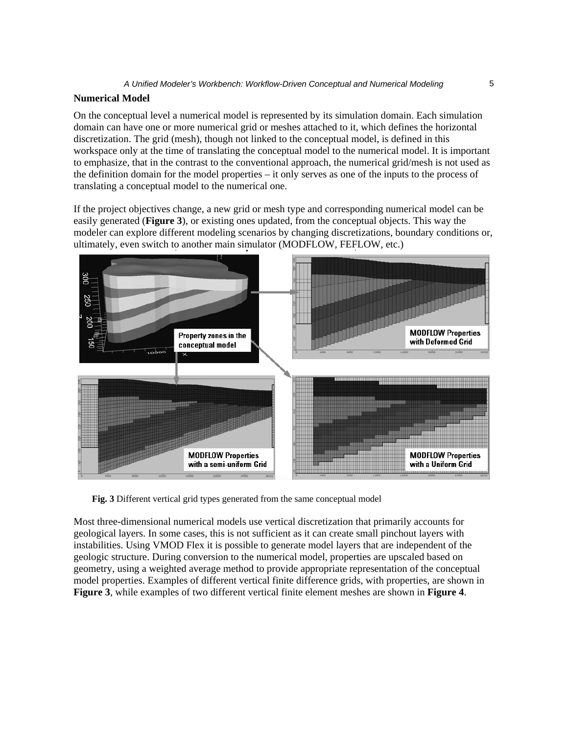### **Numerical Model**

On the conceptual level a numerical model is represented by its simulation domain. Each simulation domain can have one or more numerical grid or meshes attached to it, which defines the horizontal discretization. The grid (mesh), though not linked to the conceptual model, is defined in this workspace only at the time of translating the conceptual model to the numerical model. It is important to emphasize, that in the contrast to the conventional approach, the numerical grid/mesh is not used as the definition domain for the model properties – it only serves as one of the inputs to the process of translating a conceptual model to the numerical one.

If the project objectives change, a new grid or mesh type and corresponding numerical model can be easily generated (**Figure 3**), or existing ones updated, from the conceptual objects. This way the modeler can explore different modeling scenarios by changing discretizations, boundary conditions or, ultimately, even switch to another main simulator (MODFLOW, FEFLOW, etc.)



**Fig. 3** Different vertical grid types generated from the same conceptual model

Most three-dimensional numerical models use vertical discretization that primarily accounts for geological layers. In some cases, this is not sufficient as it can create small pinchout layers with instabilities. Using VMOD Flex it is possible to generate model layers that are independent of the geologic structure. During conversion to the numerical model, properties are upscaled based on geometry, using a weighted average method to provide appropriate representation of the conceptual model properties. Examples of different vertical finite difference grids, with properties, are shown in **Figure 3**, while examples of two different vertical finite element meshes are shown in **Figure 4**.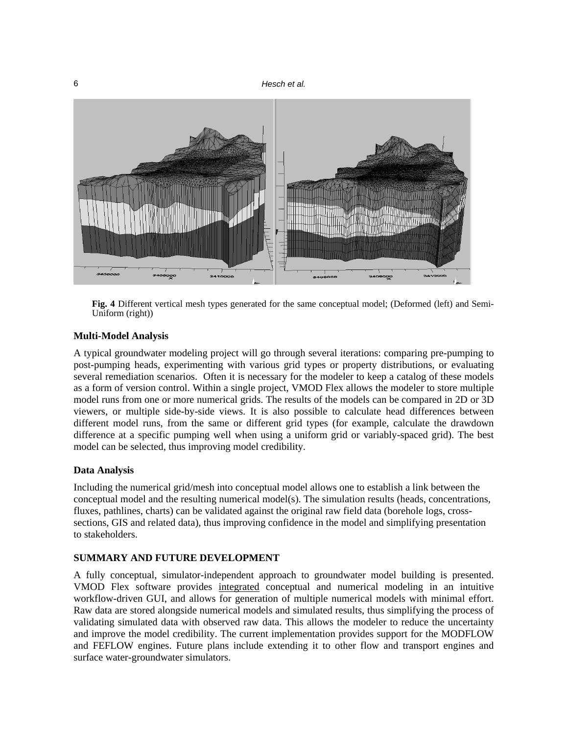

**Fig. 4** Different vertical mesh types generated for the same conceptual model; (Deformed (left) and Semi-Uniform (right))

#### **Multi-Model Analysis**

A typical groundwater modeling project will go through several iterations: comparing pre-pumping to post-pumping heads, experimenting with various grid types or property distributions, or evaluating several remediation scenarios. Often it is necessary for the modeler to keep a catalog of these models as a form of version control. Within a single project, VMOD Flex allows the modeler to store multiple model runs from one or more numerical grids. The results of the models can be compared in 2D or 3D viewers, or multiple side-by-side views. It is also possible to calculate head differences between different model runs, from the same or different grid types (for example, calculate the drawdown difference at a specific pumping well when using a uniform grid or variably-spaced grid). The best model can be selected, thus improving model credibility.

#### **Data Analysis**

Including the numerical grid/mesh into conceptual model allows one to establish a link between the conceptual model and the resulting numerical model(s). The simulation results (heads, concentrations, fluxes, pathlines, charts) can be validated against the original raw field data (borehole logs, crosssections, GIS and related data), thus improving confidence in the model and simplifying presentation to stakeholders.

## **SUMMARY AND FUTURE DEVELOPMENT**

A fully conceptual, simulator-independent approach to groundwater model building is presented. VMOD Flex software provides integrated conceptual and numerical modeling in an intuitive workflow-driven GUI, and allows for generation of multiple numerical models with minimal effort. Raw data are stored alongside numerical models and simulated results, thus simplifying the process of validating simulated data with observed raw data. This allows the modeler to reduce the uncertainty and improve the model credibility. The current implementation provides support for the MODFLOW and FEFLOW engines. Future plans include extending it to other flow and transport engines and surface water-groundwater simulators.